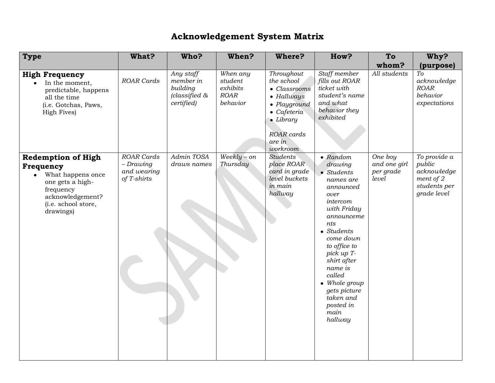## **Acknowledgement System Matrix**

| <b>Type</b>                                                                                                                                                       | What?                                                         | Who?                                                              | When?                                               | <b>Where?</b>                                                                                                                                                 | How?                                                                                                                                                                                                                                                                                                           | To                                            | Why?                                                                              |
|-------------------------------------------------------------------------------------------------------------------------------------------------------------------|---------------------------------------------------------------|-------------------------------------------------------------------|-----------------------------------------------------|---------------------------------------------------------------------------------------------------------------------------------------------------------------|----------------------------------------------------------------------------------------------------------------------------------------------------------------------------------------------------------------------------------------------------------------------------------------------------------------|-----------------------------------------------|-----------------------------------------------------------------------------------|
|                                                                                                                                                                   |                                                               |                                                                   |                                                     |                                                                                                                                                               |                                                                                                                                                                                                                                                                                                                | whom?                                         | (purpose)                                                                         |
| <b>High Frequency</b><br>In the moment,<br>predictable, happens<br>all the time<br>(i.e. Gotchas, Paws,<br>High Fives)                                            | <b>ROAR Cards</b>                                             | Any staff<br>member in<br>building<br>(classified &<br>certified) | When any<br>student<br>exhibits<br>ROAR<br>behavior | Throughout<br>the school<br>• Classrooms<br>· Hallways<br>· Playground<br>$\bullet$ Cafeteria<br>$\bullet$ Library<br><b>ROAR</b> cards<br>are in<br>workroom | Staff member<br>fills out ROAR<br>ticket with<br>student's name<br>and what<br>behavior they<br>exhibited                                                                                                                                                                                                      | All students                                  | To<br>acknowledge<br>ROAR<br>behavior<br>expectations                             |
| <b>Redemption of High</b><br>Frequency<br>What happens once<br>$\bullet$<br>one gets a high-<br>frequency<br>acknowledgement?<br>(i.e. school store,<br>drawings) | <b>ROAR</b> Cards<br>$-Drawing$<br>and wearing<br>of T-shirts | Admin TOSA<br>draws names                                         | $Weekly-on$<br>Thursday                             | <b>Students</b><br>place ROAR<br>card in grade<br>level buckets<br>in main<br>hallway                                                                         | $\bullet$ Random<br>drawing<br>$\bullet$ Students<br>names are<br>announced<br>over<br>intercom<br>with Friday<br>announceme<br>nts<br>• Students<br>come down<br>to office to<br>pick up T-<br>shirt after<br>name is<br>called<br>• Whole group<br>gets picture<br>taken and<br>posted in<br>main<br>hallway | One boy<br>and one girl<br>per grade<br>level | To provide a<br>public<br>acknowledge<br>ment of 2<br>students per<br>grade level |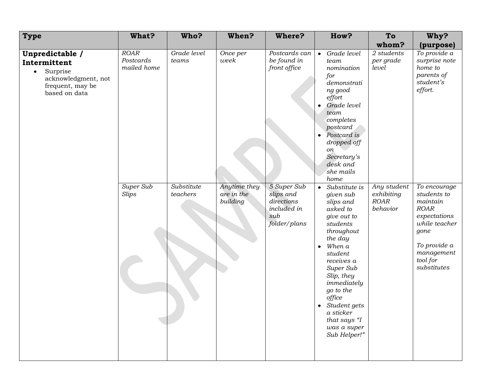| <b>Type</b>                                                                                                          | What?                                   | Who?                   | When?                                  | <b>Where?</b>                                                                | How?                                                                                                                                                                                                                                                                                                                           | To                                            | Why?                                                                                                                                                     |
|----------------------------------------------------------------------------------------------------------------------|-----------------------------------------|------------------------|----------------------------------------|------------------------------------------------------------------------------|--------------------------------------------------------------------------------------------------------------------------------------------------------------------------------------------------------------------------------------------------------------------------------------------------------------------------------|-----------------------------------------------|----------------------------------------------------------------------------------------------------------------------------------------------------------|
|                                                                                                                      |                                         |                        |                                        |                                                                              |                                                                                                                                                                                                                                                                                                                                | whom?                                         | (purpose)                                                                                                                                                |
| Unpredictable /<br>Intermittent<br>Surprise<br>$\bullet$<br>acknowledgment, not<br>frequent, may be<br>based on data | <b>ROAR</b><br>Postcards<br>mailed home | Grade level<br>teams   | Once per<br>week                       | Postcards can<br>be found in<br>front office                                 | Grade level<br>$\bullet$<br>team<br>nomination<br>for<br>demonstrati<br>ng good<br>effort<br>Grade level<br>$\bullet$<br>team<br>completes<br>postcard<br>Postcard is<br>$\bullet$<br>dropped off<br>on<br>Secretary's<br>desk and<br>she mails<br>home                                                                        | 2 students<br>per grade<br>level              | To provide a<br>surprise note<br>home to<br>parents of<br>student's<br>effort.                                                                           |
|                                                                                                                      | Super Sub<br>Slips                      | Substitute<br>teachers | Anytime they<br>are in the<br>building | 5 Super Sub<br>slips and<br>directions<br>included in<br>sub<br>folder/plans | Substitute is<br>$\bullet$<br>given sub<br>slips and<br>asked to<br>give out to<br>students<br>throughout<br>the day<br>When a<br>$\bullet$<br>student<br>receives a<br>Super Sub<br>Slip, they<br>immediately<br>go to the<br>office<br>Student gets<br>$\bullet$<br>a sticker<br>that says "I<br>was a super<br>Sub Helper!" | Any student<br>exhibiting<br>ROAR<br>behavior | To encourage<br>students to<br>maintain<br><b>ROAR</b><br>expectations<br>while teacher<br>gone<br>To provide a<br>management<br>tool for<br>substitutes |